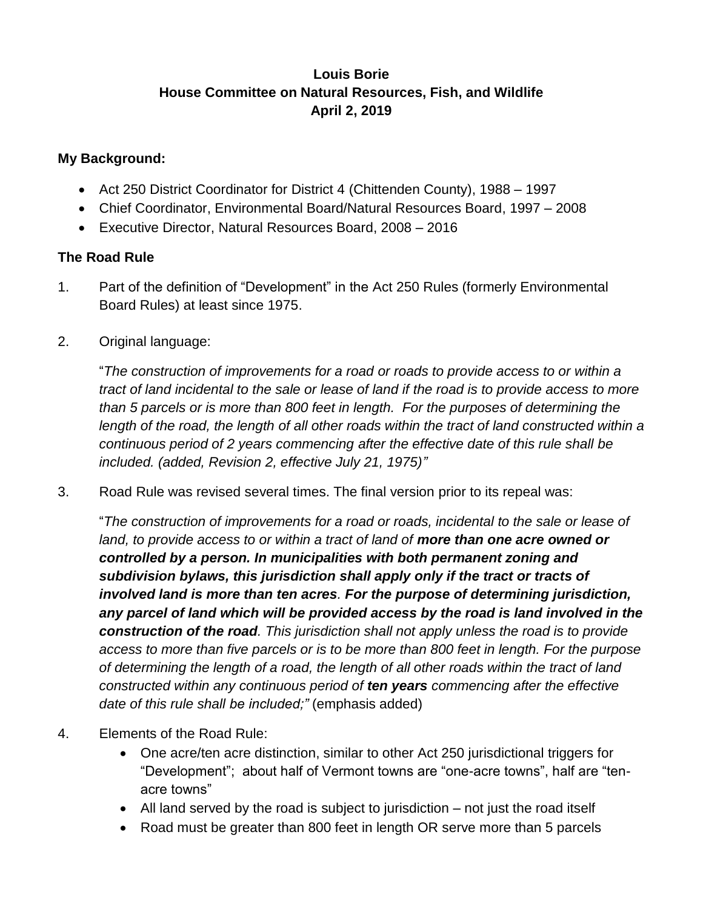## **Louis Borie House Committee on Natural Resources, Fish, and Wildlife April 2, 2019**

## **My Background:**

- Act 250 District Coordinator for District 4 (Chittenden County), 1988 1997
- Chief Coordinator, Environmental Board/Natural Resources Board, 1997 2008
- Executive Director, Natural Resources Board, 2008 2016

## **The Road Rule**

- 1. Part of the definition of "Development" in the Act 250 Rules (formerly Environmental Board Rules) at least since 1975.
- 2. Original language:

"*The construction of improvements for a road or roads to provide access to or within a tract of land incidental to the sale or lease of land if the road is to provide access to more than 5 parcels or is more than 800 feet in length. For the purposes of determining the*  length of the road, the length of all other roads within the tract of land constructed within a *continuous period of 2 years commencing after the effective date of this rule shall be included. (added, Revision 2, effective July 21, 1975)"*

3. Road Rule was revised several times. The final version prior to its repeal was:

"*The construction of improvements for a road or roads, incidental to the sale or lease of*  land, to provide access to or within a tract of land of **more than one acre owned or** *controlled by a person. In municipalities with both permanent zoning and subdivision bylaws, this jurisdiction shall apply only if the tract or tracts of involved land is more than ten acres. For the purpose of determining jurisdiction, any parcel of land which will be provided access by the road is land involved in the construction of the road. This jurisdiction shall not apply unless the road is to provide access to more than five parcels or is to be more than 800 feet in length. For the purpose of determining the length of a road, the length of all other roads within the tract of land constructed within any continuous period of ten years commencing after the effective date of this rule shall be included;"* (emphasis added)

- 4. Elements of the Road Rule:
	- One acre/ten acre distinction, similar to other Act 250 jurisdictional triggers for "Development"; about half of Vermont towns are "one-acre towns", half are "tenacre towns"
	- All land served by the road is subject to jurisdiction not just the road itself
	- Road must be greater than 800 feet in length OR serve more than 5 parcels